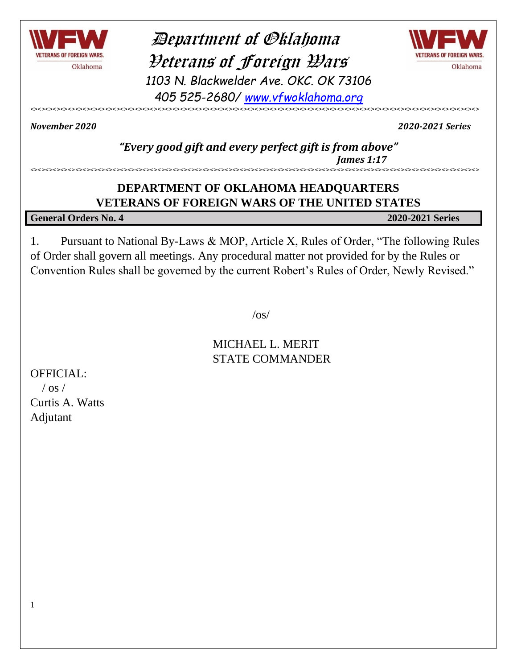

 Department of Oklahoma Veterans of Foreign Wars *1103 N. Blackwelder Ave. OKC. OK 73106 405 525-2680/ [www.vfwoklahoma.org](http://www.vfwoklahoma.org/)*



<><><><><><><><><><><><><><><><><><><><><><><><><><><><><><><><><><><><><><><><><><><><><><><><><><><><><><><><><><><><>

*November 2020 2020-2021 Series*

#### *"Every good gift and every perfect gift is from above" James 1:17* <><><><><><><><><><><><><><><><><><><><><><><><><><><><><><><><><><><><><><><><><><><><><><><><><><><><><><><><><><><><>

### **DEPARTMENT OF OKLAHOMA HEADQUARTERS VETERANS OF FOREIGN WARS OF THE UNITED STATES**

**General Orders No. 4 2020-2021 Series**

1. Pursuant to National By-Laws & MOP, Article X, Rules of Order, "The following Rules of Order shall govern all meetings. Any procedural matter not provided for by the Rules or Convention Rules shall be governed by the current Robert's Rules of Order, Newly Revised."

 $\sqrt{OS}$ 

MICHAEL L. MERIT STATE COMMANDER

OFFICIAL:

 $/$  os  $/$ Curtis A. Watts Adjutant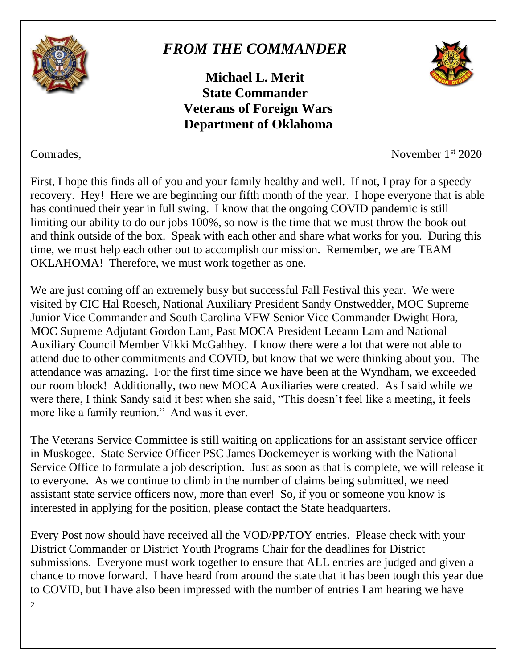

# *FROM THE COMMANDER*

**Michael L. Merit State Commander Veterans of Foreign Wars Department of Oklahoma**



Comrades, November 1<sup>st</sup> 2020

First, I hope this finds all of you and your family healthy and well. If not, I pray for a speedy recovery. Hey! Here we are beginning our fifth month of the year. I hope everyone that is able has continued their year in full swing. I know that the ongoing COVID pandemic is still limiting our ability to do our jobs 100%, so now is the time that we must throw the book out and think outside of the box. Speak with each other and share what works for you. During this time, we must help each other out to accomplish our mission. Remember, we are TEAM OKLAHOMA! Therefore, we must work together as one.

We are just coming off an extremely busy but successful Fall Festival this year. We were visited by CIC Hal Roesch, National Auxiliary President Sandy Onstwedder, MOC Supreme Junior Vice Commander and South Carolina VFW Senior Vice Commander Dwight Hora, MOC Supreme Adjutant Gordon Lam, Past MOCA President Leeann Lam and National Auxiliary Council Member Vikki McGahhey. I know there were a lot that were not able to attend due to other commitments and COVID, but know that we were thinking about you. The attendance was amazing. For the first time since we have been at the Wyndham, we exceeded our room block! Additionally, two new MOCA Auxiliaries were created. As I said while we were there, I think Sandy said it best when she said, "This doesn't feel like a meeting, it feels more like a family reunion." And was it ever.

The Veterans Service Committee is still waiting on applications for an assistant service officer in Muskogee. State Service Officer PSC James Dockemeyer is working with the National Service Office to formulate a job description. Just as soon as that is complete, we will release it to everyone. As we continue to climb in the number of claims being submitted, we need assistant state service officers now, more than ever! So, if you or someone you know is interested in applying for the position, please contact the State headquarters.

 $\overline{2}$ Every Post now should have received all the VOD/PP/TOY entries. Please check with your District Commander or District Youth Programs Chair for the deadlines for District submissions. Everyone must work together to ensure that ALL entries are judged and given a chance to move forward. I have heard from around the state that it has been tough this year due to COVID, but I have also been impressed with the number of entries I am hearing we have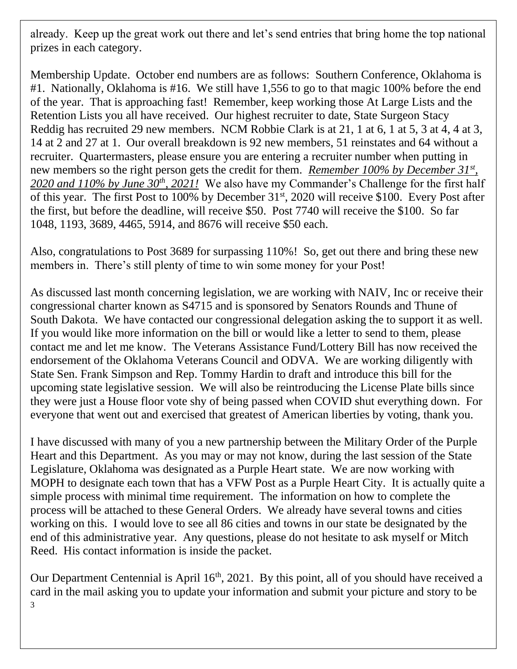already. Keep up the great work out there and let's send entries that bring home the top national prizes in each category.

Membership Update. October end numbers are as follows: Southern Conference, Oklahoma is #1. Nationally, Oklahoma is #16. We still have 1,556 to go to that magic 100% before the end of the year. That is approaching fast! Remember, keep working those At Large Lists and the Retention Lists you all have received. Our highest recruiter to date, State Surgeon Stacy Reddig has recruited 29 new members. NCM Robbie Clark is at 21, 1 at 6, 1 at 5, 3 at 4, 4 at 3, 14 at 2 and 27 at 1. Our overall breakdown is 92 new members, 51 reinstates and 64 without a recruiter. Quartermasters, please ensure you are entering a recruiter number when putting in new members so the right person gets the credit for them. *Remember 100% by December 31st , 2020 and 110% by June 30th, 2021!* We also have my Commander's Challenge for the first half of this year. The first Post to 100% by December 31<sup>st</sup>, 2020 will receive \$100. Every Post after the first, but before the deadline, will receive \$50. Post 7740 will receive the \$100. So far 1048, 1193, 3689, 4465, 5914, and 8676 will receive \$50 each.

Also, congratulations to Post 3689 for surpassing 110%! So, get out there and bring these new members in. There's still plenty of time to win some money for your Post!

As discussed last month concerning legislation, we are working with NAIV, Inc or receive their congressional charter known as S4715 and is sponsored by Senators Rounds and Thune of South Dakota. We have contacted our congressional delegation asking the to support it as well. If you would like more information on the bill or would like a letter to send to them, please contact me and let me know. The Veterans Assistance Fund/Lottery Bill has now received the endorsement of the Oklahoma Veterans Council and ODVA. We are working diligently with State Sen. Frank Simpson and Rep. Tommy Hardin to draft and introduce this bill for the upcoming state legislative session. We will also be reintroducing the License Plate bills since they were just a House floor vote shy of being passed when COVID shut everything down. For everyone that went out and exercised that greatest of American liberties by voting, thank you.

I have discussed with many of you a new partnership between the Military Order of the Purple Heart and this Department. As you may or may not know, during the last session of the State Legislature, Oklahoma was designated as a Purple Heart state. We are now working with MOPH to designate each town that has a VFW Post as a Purple Heart City. It is actually quite a simple process with minimal time requirement. The information on how to complete the process will be attached to these General Orders. We already have several towns and cities working on this. I would love to see all 86 cities and towns in our state be designated by the end of this administrative year. Any questions, please do not hesitate to ask myself or Mitch Reed. His contact information is inside the packet.

3 Our Department Centennial is April  $16<sup>th</sup>$ , 2021. By this point, all of you should have received a card in the mail asking you to update your information and submit your picture and story to be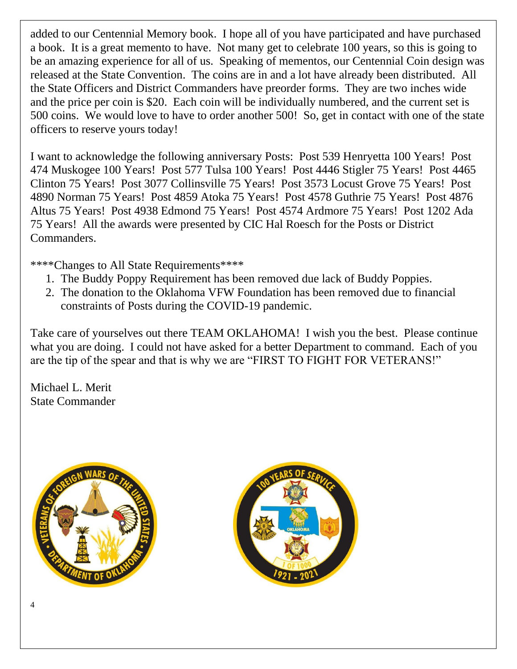added to our Centennial Memory book. I hope all of you have participated and have purchased a book. It is a great memento to have. Not many get to celebrate 100 years, so this is going to be an amazing experience for all of us. Speaking of mementos, our Centennial Coin design was released at the State Convention. The coins are in and a lot have already been distributed. All the State Officers and District Commanders have preorder forms. They are two inches wide and the price per coin is \$20. Each coin will be individually numbered, and the current set is 500 coins. We would love to have to order another 500! So, get in contact with one of the state officers to reserve yours today!

I want to acknowledge the following anniversary Posts: Post 539 Henryetta 100 Years! Post 474 Muskogee 100 Years! Post 577 Tulsa 100 Years! Post 4446 Stigler 75 Years! Post 4465 Clinton 75 Years! Post 3077 Collinsville 75 Years! Post 3573 Locust Grove 75 Years! Post 4890 Norman 75 Years! Post 4859 Atoka 75 Years! Post 4578 Guthrie 75 Years! Post 4876 Altus 75 Years! Post 4938 Edmond 75 Years! Post 4574 Ardmore 75 Years! Post 1202 Ada 75 Years! All the awards were presented by CIC Hal Roesch for the Posts or District Commanders.

\*\*\*\*Changes to All State Requirements\*\*\*\*

- 1. The Buddy Poppy Requirement has been removed due lack of Buddy Poppies.
- 2. The donation to the Oklahoma VFW Foundation has been removed due to financial constraints of Posts during the COVID-19 pandemic.

Take care of yourselves out there TEAM OKLAHOMA! I wish you the best. Please continue what you are doing. I could not have asked for a better Department to command. Each of you are the tip of the spear and that is why we are "FIRST TO FIGHT FOR VETERANS!"

Michael L. Merit State Commander



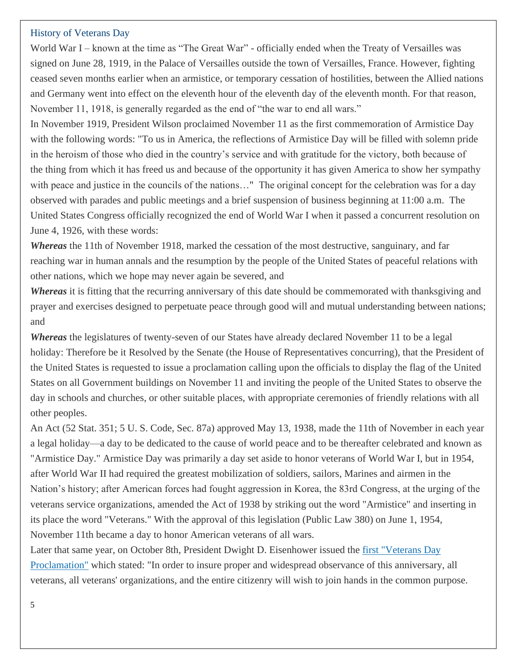#### History of Veterans Day

World War I – known at the time as "The Great War" - officially ended when the Treaty of Versailles was signed on June 28, 1919, in the Palace of Versailles outside the town of Versailles, France. However, fighting ceased seven months earlier when an armistice, or temporary cessation of hostilities, between the Allied nations and Germany went into effect on the eleventh hour of the eleventh day of the eleventh month. For that reason, November 11, 1918, is generally regarded as the end of "the war to end all wars."

In November 1919, President Wilson proclaimed November 11 as the first commemoration of Armistice Day with the following words: "To us in America, the reflections of Armistice Day will be filled with solemn pride in the heroism of those who died in the country's service and with gratitude for the victory, both because of the thing from which it has freed us and because of the opportunity it has given America to show her sympathy with peace and justice in the councils of the nations..." The original concept for the celebration was for a day observed with parades and public meetings and a brief suspension of business beginning at 11:00 a.m. The United States Congress officially recognized the end of World War I when it passed a concurrent resolution on June 4, 1926, with these words:

*Whereas* the 11th of November 1918, marked the cessation of the most destructive, sanguinary, and far reaching war in human annals and the resumption by the people of the United States of peaceful relations with other nations, which we hope may never again be severed, and

*Whereas* it is fitting that the recurring anniversary of this date should be commemorated with thanksgiving and prayer and exercises designed to perpetuate peace through good will and mutual understanding between nations; and

*Whereas* the legislatures of twenty-seven of our States have already declared November 11 to be a legal holiday: Therefore be it Resolved by the Senate (the House of Representatives concurring), that the President of the United States is requested to issue a proclamation calling upon the officials to display the flag of the United States on all Government buildings on November 11 and inviting the people of the United States to observe the day in schools and churches, or other suitable places, with appropriate ceremonies of friendly relations with all other peoples.

An Act (52 Stat. 351; 5 U. S. Code, Sec. 87a) approved May 13, 1938, made the 11th of November in each year a legal holiday—a day to be dedicated to the cause of world peace and to be thereafter celebrated and known as "Armistice Day." Armistice Day was primarily a day set aside to honor veterans of World War I, but in 1954, after World War II had required the greatest mobilization of soldiers, sailors, Marines and airmen in the Nation's history; after American forces had fought aggression in Korea, the 83rd Congress, at the urging of the veterans service organizations, amended the Act of 1938 by striking out the word "Armistice" and inserting in its place the word "Veterans." With the approval of this legislation (Public Law 380) on June 1, 1954, November 11th became a day to honor American veterans of all wars.

Later that same year, on October 8th, President Dwight D. Eisenhower issued the [first "Veterans Day](https://www.va.gov/opa/vetsday/docs/proclamation_1954.pdf)  [Proclamation"](https://www.va.gov/opa/vetsday/docs/proclamation_1954.pdf) which stated: "In order to insure proper and widespread observance of this anniversary, all veterans, all veterans' organizations, and the entire citizenry will wish to join hands in the common purpose.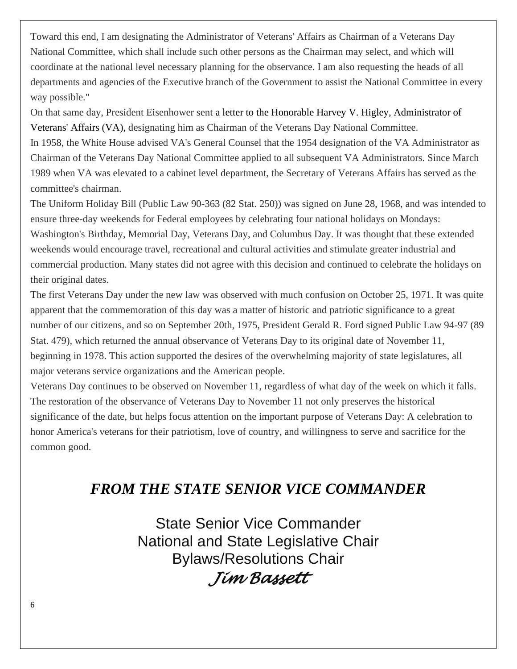Toward this end, I am designating the Administrator of Veterans' Affairs as Chairman of a Veterans Day National Committee, which shall include such other persons as the Chairman may select, and which will coordinate at the national level necessary planning for the observance. I am also requesting the heads of all departments and agencies of the Executive branch of the Government to assist the National Committee in every way possible."

On that same day, President Eisenhower sent a letter to the Honorable Harvey V. Higley, Administrator of Veterans' Affairs (VA), designating him as Chairman of the Veterans Day National Committee.

In 1958, the White House advised VA's General Counsel that the 1954 designation of the VA Administrator as Chairman of the Veterans Day National Committee applied to all subsequent VA Administrators. Since March 1989 when VA was elevated to a cabinet level department, the Secretary of Veterans Affairs has served as the committee's chairman.

The Uniform Holiday Bill (Public Law 90-363 (82 Stat. 250)) was signed on June 28, 1968, and was intended to ensure three-day weekends for Federal employees by celebrating four national holidays on Mondays: Washington's Birthday, Memorial Day, Veterans Day, and Columbus Day. It was thought that these extended weekends would encourage travel, recreational and cultural activities and stimulate greater industrial and commercial production. Many states did not agree with this decision and continued to celebrate the holidays on their original dates.

The first Veterans Day under the new law was observed with much confusion on October 25, 1971. It was quite apparent that the commemoration of this day was a matter of historic and patriotic significance to a great number of our citizens, and so on September 20th, 1975, President Gerald R. Ford signed Public Law 94-97 (89 Stat. 479), which returned the annual observance of Veterans Day to its original date of November 11, beginning in 1978. This action supported the desires of the overwhelming majority of state legislatures, all major veterans service organizations and the American people.

Veterans Day continues to be observed on November 11, regardless of what day of the week on which it falls. The restoration of the observance of Veterans Day to November 11 not only preserves the historical significance of the date, but helps focus attention on the important purpose of Veterans Day: A celebration to honor America's veterans for their patriotism, love of country, and willingness to serve and sacrifice for the common good.

### *FROM THE STATE SENIOR VICE COMMANDER*

State Senior Vice Commander National and State Legislative Chair Bylaws/Resolutions Chair

*Jim Bassett*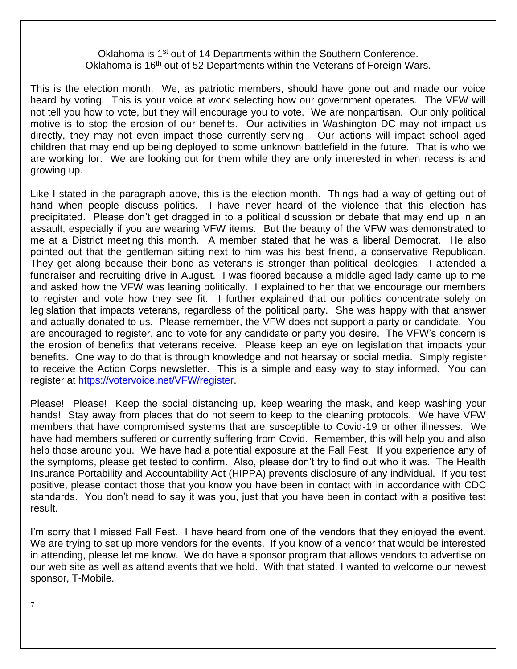#### Oklahoma is 1<sup>st</sup> out of 14 Departments within the Southern Conference. Oklahoma is 16<sup>th</sup> out of 52 Departments within the Veterans of Foreign Wars.

This is the election month. We, as patriotic members, should have gone out and made our voice heard by voting. This is your voice at work selecting how our government operates. The VFW will not tell you how to vote, but they will encourage you to vote. We are nonpartisan. Our only political motive is to stop the erosion of our benefits. Our activities in Washington DC may not impact us directly, they may not even impact those currently serving Our actions will impact school aged children that may end up being deployed to some unknown battlefield in the future. That is who we are working for. We are looking out for them while they are only interested in when recess is and growing up.

Like I stated in the paragraph above, this is the election month. Things had a way of getting out of hand when people discuss politics. I have never heard of the violence that this election has precipitated. Please don't get dragged in to a political discussion or debate that may end up in an assault, especially if you are wearing VFW items. But the beauty of the VFW was demonstrated to me at a District meeting this month. A member stated that he was a liberal Democrat. He also pointed out that the gentleman sitting next to him was his best friend, a conservative Republican. They get along because their bond as veterans is stronger than political ideologies. I attended a fundraiser and recruiting drive in August. I was floored because a middle aged lady came up to me and asked how the VFW was leaning politically. I explained to her that we encourage our members to register and vote how they see fit. I further explained that our politics concentrate solely on legislation that impacts veterans, regardless of the political party. She was happy with that answer and actually donated to us. Please remember, the VFW does not support a party or candidate. You are encouraged to register, and to vote for any candidate or party you desire. The VFW's concern is the erosion of benefits that veterans receive. Please keep an eye on legislation that impacts your benefits. One way to do that is through knowledge and not hearsay or social media. Simply register to receive the Action Corps newsletter. This is a simple and easy way to stay informed. You can register at [https://votervoice.net/VFW/register.](https://votervoice.net/VFW/register)

Please! Please! Keep the social distancing up, keep wearing the mask, and keep washing your hands! Stay away from places that do not seem to keep to the cleaning protocols. We have VFW members that have compromised systems that are susceptible to Covid-19 or other illnesses. We have had members suffered or currently suffering from Covid. Remember, this will help you and also help those around you. We have had a potential exposure at the Fall Fest. If you experience any of the symptoms, please get tested to confirm. Also, please don't try to find out who it was. The Health Insurance Portability and Accountability Act (HIPPA) prevents disclosure of any individual. If you test positive, please contact those that you know you have been in contact with in accordance with CDC standards. You don't need to say it was you, just that you have been in contact with a positive test result.

I'm sorry that I missed Fall Fest. I have heard from one of the vendors that they enjoyed the event. We are trying to set up more vendors for the events. If you know of a vendor that would be interested in attending, please let me know. We do have a sponsor program that allows vendors to advertise on our web site as well as attend events that we hold. With that stated, I wanted to welcome our newest sponsor, T-Mobile.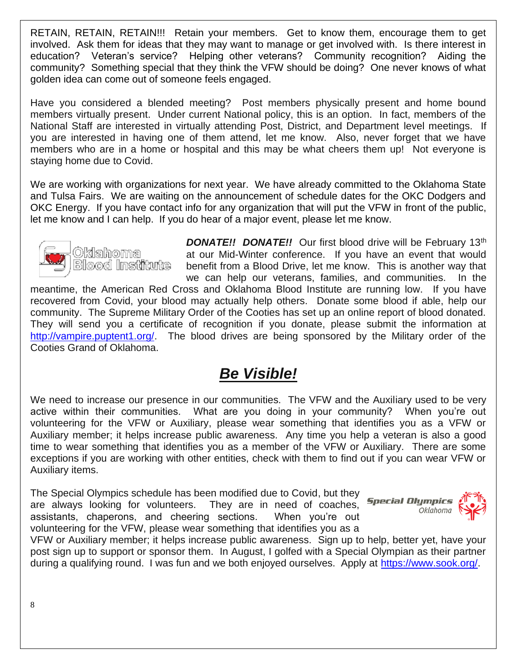RETAIN, RETAIN, RETAIN!!! Retain your members. Get to know them, encourage them to get involved. Ask them for ideas that they may want to manage or get involved with. Is there interest in education? Veteran's service? Helping other veterans? Community recognition? Aiding the community? Something special that they think the VFW should be doing? One never knows of what golden idea can come out of someone feels engaged.

Have you considered a blended meeting? Post members physically present and home bound members virtually present. Under current National policy, this is an option. In fact, members of the National Staff are interested in virtually attending Post, District, and Department level meetings. If you are interested in having one of them attend, let me know. Also, never forget that we have members who are in a home or hospital and this may be what cheers them up! Not everyone is staying home due to Covid.

We are working with organizations for next year. We have already committed to the Oklahoma State and Tulsa Fairs. We are waiting on the announcement of schedule dates for the OKC Dodgers and OKC Energy. If you have contact info for any organization that will put the VFW in front of the public, let me know and I can help. If you do hear of a major event, please let me know.



**DONATE!! DONATE!!** Our first blood drive will be February 13<sup>th</sup> at our Mid-Winter conference. If you have an event that would benefit from a Blood Drive, let me know. This is another way that we can help our veterans, families, and communities. In the

meantime, the American Red Cross and Oklahoma Blood Institute are running low. If you have recovered from Covid, your blood may actually help others. Donate some blood if able, help our community. The Supreme Military Order of the Cooties has set up an online report of blood donated. They will send you a certificate of recognition if you donate, please submit the information at [http://vampire.puptent1.org/.](http://vampire.puptent1.org/) The blood drives are being sponsored by the Military order of the Cooties Grand of Oklahoma.

## *Be Visible!*

We need to increase our presence in our communities. The VFW and the Auxiliary used to be very active within their communities. What are you doing in your community? When you're out volunteering for the VFW or Auxiliary, please wear something that identifies you as a VFW or Auxiliary member; it helps increase public awareness. Any time you help a veteran is also a good time to wear something that identifies you as a member of the VFW or Auxiliary. There are some exceptions if you are working with other entities, check with them to find out if you can wear VFW or Auxiliary items.

The Special Olympics schedule has been modified due to Covid, but they are always looking for volunteers. They are in need of coaches, assistants, chaperons, and cheering sections. When you're out volunteering for the VFW, please wear something that identifies you as a



VFW or Auxiliary member; it helps increase public awareness. Sign up to help, better yet, have your post sign up to support or sponsor them. In August, I golfed with a Special Olympian as their partner during a qualifying round. I was fun and we both enjoyed ourselves. Apply at [https://www.sook.org/.](https://www.sook.org/)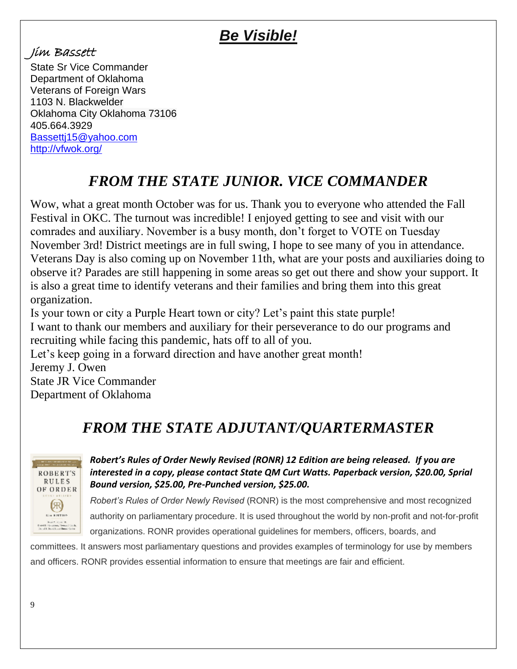# *Be Visible!*

### Jim Bassett

State Sr Vice Commander Department of Oklahoma Veterans of Foreign Wars 1103 N. Blackwelder Oklahoma City Oklahoma 73106 405.664.3929 [Bassettj15@yahoo.com](mailto:Bassettj15@yahoo.com) <http://vfwok.org/>

# *FROM THE STATE JUNIOR. VICE COMMANDER*

Wow, what a great month October was for us. Thank you to everyone who attended the Fall Festival in OKC. The turnout was incredible! I enjoyed getting to see and visit with our comrades and auxiliary. November is a busy month, don't forget to VOTE on Tuesday November 3rd! District meetings are in full swing, I hope to see many of you in attendance. Veterans Day is also coming up on November 11th, what are your posts and auxiliaries doing to observe it? Parades are still happening in some areas so get out there and show your support. It is also a great time to identify veterans and their families and bring them into this great organization.

Is your town or city a Purple Heart town or city? Let's paint this state purple! I want to thank our members and auxiliary for their perseverance to do our programs and recruiting while facing this pandemic, hats off to all of you.

Let's keep going in a forward direction and have another great month! Jeremy J. Owen State JR Vice Commander Department of Oklahoma

# *FROM THE STATE ADJUTANT/QUARTERMASTER*



### *Robert's Rules of Order Newly Revised (RONR) 12 Edition are being released. If you are interested in a copy, please contact State QM Curt Watts. Paperback version, \$20.00, Sprial Bound version, \$25.00, Pre-Punched version, \$25.00.*

*Robert's Rules of Order Newly Revised* (RONR) is the most comprehensive and most recognized authority on parliamentary procedure. It is used throughout the world by non-profit and not-for-profit organizations. RONR provides operational guidelines for members, officers, boards, and

committees. It answers most parliamentary questions and provides examples of terminology for use by members and officers. RONR provides essential information to ensure that meetings are fair and efficient.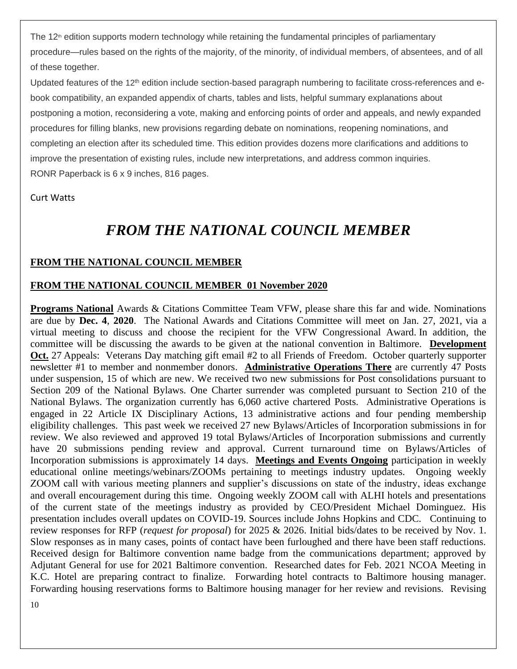The 12<sup>th</sup> edition supports modern technology while retaining the fundamental principles of parliamentary procedure—rules based on the rights of the majority, of the minority, of individual members, of absentees, and of all of these together.

Updated features of the 12<sup>th</sup> edition include section-based paragraph numbering to facilitate cross-references and ebook compatibility, an expanded appendix of charts, tables and lists, helpful summary explanations about postponing a motion, reconsidering a vote, making and enforcing points of order and appeals, and newly expanded procedures for filling blanks, new provisions regarding debate on nominations, reopening nominations, and completing an election after its scheduled time. This edition provides dozens more clarifications and additions to improve the presentation of existing rules, include new interpretations, and address common inquiries. RONR Paperback is 6 x 9 inches, 816 pages.

Curt Watts

## *FROM THE NATIONAL COUNCIL MEMBER*

### **FROM THE NATIONAL COUNCIL MEMBER**

### **FROM THE NATIONAL COUNCIL MEMBER 01 November 2020**

**Programs National** Awards & Citations Committee Team VFW, please share this far and wide. Nominations are due by **Dec. 4**, **2020**. The National Awards and Citations Committee will meet on Jan. 27, 2021, via a virtual meeting to discuss and choose the recipient for the VFW Congressional Award. In addition, the committee will be discussing the awards to be given at the national convention in Baltimore. **Development Oct.** 27 Appeals: Veterans Day matching gift email #2 to all Friends of Freedom. October quarterly supporter newsletter #1 to member and nonmember donors. **Administrative Operations There** are currently 47 Posts under suspension, 15 of which are new. We received two new submissions for Post consolidations pursuant to Section 209 of the National Bylaws. One Charter surrender was completed pursuant to Section 210 of the National Bylaws. The organization currently has 6,060 active chartered Posts. Administrative Operations is engaged in 22 Article IX Disciplinary Actions, 13 administrative actions and four pending membership eligibility challenges. This past week we received 27 new Bylaws/Articles of Incorporation submissions in for review. We also reviewed and approved 19 total Bylaws/Articles of Incorporation submissions and currently have 20 submissions pending review and approval. Current turnaround time on Bylaws/Articles of Incorporation submissions is approximately 14 days. **Meetings and Events Ongoing** participation in weekly educational online meetings/webinars/ZOOMs pertaining to meetings industry updates. Ongoing weekly ZOOM call with various meeting planners and supplier's discussions on state of the industry, ideas exchange and overall encouragement during this time. Ongoing weekly ZOOM call with ALHI hotels and presentations of the current state of the meetings industry as provided by CEO/President Michael Dominguez. His presentation includes overall updates on COVID-19. Sources include Johns Hopkins and CDC. Continuing to review responses for RFP (*request for proposal*) for 2025 & 2026. Initial bids/dates to be received by Nov. 1. Slow responses as in many cases, points of contact have been furloughed and there have been staff reductions. Received design for Baltimore convention name badge from the communications department; approved by Adjutant General for use for 2021 Baltimore convention. Researched dates for Feb. 2021 NCOA Meeting in K.C. Hotel are preparing contract to finalize. Forwarding hotel contracts to Baltimore housing manager. Forwarding housing reservations forms to Baltimore housing manager for her review and revisions. Revising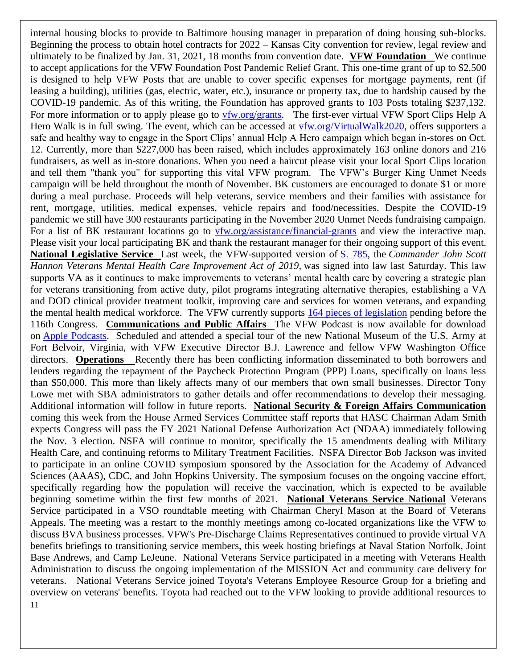11 internal housing blocks to provide to Baltimore housing manager in preparation of doing housing sub-blocks. Beginning the process to obtain hotel contracts for 2022 – Kansas City convention for review, legal review and ultimately to be finalized by Jan. 31, 2021, 18 months from convention date. **VFW Foundation** We continue to accept applications for the VFW Foundation Post Pandemic Relief Grant. This one-time grant of up to \$2,500 is designed to help VFW Posts that are unable to cover specific expenses for mortgage payments, rent (if leasing a building), utilities (gas, electric, water, etc.), insurance or property tax, due to hardship caused by the COVID-19 pandemic. As of this writing, the Foundation has approved grants to 103 Posts totaling \$237,132. For more information or to apply please go to [vfw.org/grants.](https://www.vfw.org/community/community-initiatives/post-grants) The first-ever virtual VFW Sport Clips Help A Hero Walk is in full swing. The event, which can be accessed at [vfw.org/VirtualWalk2020,](https://app.mobilecause.com/vf/HERO) offers supporters a safe and healthy way to engage in the Sport Clips' annual Help A Hero campaign which began in-stores on Oct. 12. Currently, more than \$227,000 has been raised, which includes approximately 163 online donors and 216 fundraisers, as well as in-store donations. When you need a haircut please visit your local Sport Clips location and tell them "thank you" for supporting this vital VFW program. The VFW's Burger King Unmet Needs campaign will be held throughout the month of November. BK customers are encouraged to donate \$1 or more during a meal purchase. Proceeds will help veterans, service members and their families with assistance for rent, mortgage, utilities, medical expenses, vehicle repairs and food/necessities. Despite the COVID-19 pandemic we still have 300 restaurants participating in the November 2020 Unmet Needs fundraising campaign. For a list of BK restaurant locations go to [vfw.org/assistance/financial-grants](http://www.vfw.org/assistance/financial-grants) and view the interactive map. Please visit your local participating BK and thank the restaurant manager for their ongoing support of this event. **National Legislative Service** Last week, the VFW-supported version of [S. 785,](https://www.congress.gov/bill/116th-congress/senate-bill/785) the *Commander John Scott Hannon Veterans Mental Health Care Improvement Act of 2019,* was signed into law last Saturday. This law supports VA as it continues to make improvements to veterans' mental health care by covering a strategic plan for veterans transitioning from active duty, pilot programs integrating alternative therapies, establishing a VA and DOD clinical provider treatment toolkit, improving care and services for women veterans, and expanding the mental health medical workforce. The VFW currently supports [164 pieces of legislation](https://votervoice.net/VFW/bills) pending before the 116th Congress. **Communications and Public Affairs** The VFW Podcast is now available for download on Apple [Podcasts.](https://podcasts.apple.com/us/podcast/the-vfw-podcast/id1536992119) Scheduled and attended a special tour of the new National Museum of the U.S. Army at Fort Belvoir, Virginia, with VFW Executive Director B.J. Lawrence and fellow VFW Washington Office directors. **Operations** Recently there has been conflicting information disseminated to both borrowers and lenders regarding the repayment of the Paycheck Protection Program (PPP) Loans, specifically on loans less than \$50,000. This more than likely affects many of our members that own small businesses. Director Tony Lowe met with SBA administrators to gather details and offer recommendations to develop their messaging. Additional information will follow in future reports. **National Security & Foreign Affairs Communication** coming this week from the House Armed Services Committee staff reports that HASC Chairman Adam Smith expects Congress will pass the FY 2021 National Defense Authorization Act (NDAA) immediately following the Nov. 3 election. NSFA will continue to monitor, specifically the 15 amendments dealing with Military Health Care, and continuing reforms to Military Treatment Facilities. NSFA Director Bob Jackson was invited to participate in an online COVID symposium sponsored by the Association for the Academy of Advanced Sciences (AAAS), CDC, and John Hopkins University. The symposium focuses on the ongoing vaccine effort, specifically regarding how the population will receive the vaccination, which is expected to be available beginning sometime within the first few months of 2021. **National Veterans Service National** Veterans Service participated in a VSO roundtable meeting with Chairman Cheryl Mason at the Board of Veterans Appeals. The meeting was a restart to the monthly meetings among co-located organizations like the VFW to discuss BVA business processes. VFW's Pre-Discharge Claims Representatives continued to provide virtual VA benefits briefings to transitioning service members, this week hosting briefings at Naval Station Norfolk, Joint Base Andrews, and Camp LeJeune. National Veterans Service participated in a meeting with Veterans Health Administration to discuss the ongoing implementation of the MISSION Act and community care delivery for veterans. National Veterans Service joined Toyota's Veterans Employee Resource Group for a briefing and overview on veterans' benefits. Toyota had reached out to the VFW looking to provide additional resources to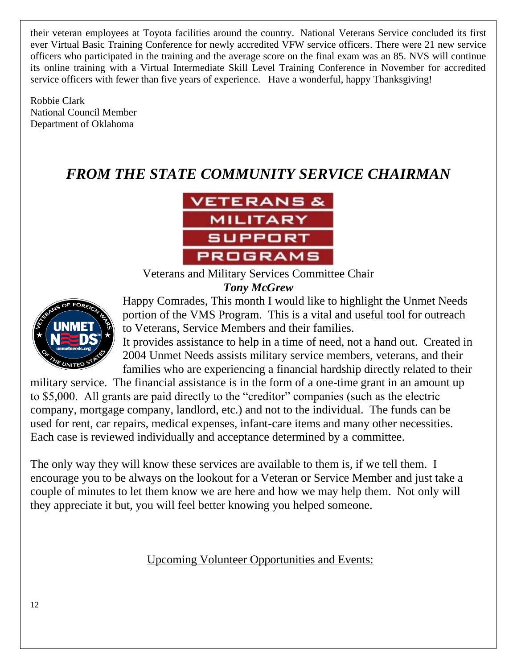their veteran employees at Toyota facilities around the country. National Veterans Service concluded its first ever Virtual Basic Training Conference for newly accredited VFW service officers. There were 21 new service officers who participated in the training and the average score on the final exam was an 85. NVS will continue its online training with a Virtual Intermediate Skill Level Training Conference in November for accredited service officers with fewer than five years of experience. Have a wonderful, happy Thanksgiving!

Robbie Clark National Council Member Department of Oklahoma

# *FROM THE STATE COMMUNITY SERVICE CHAIRMAN*



Veterans and Military Services Committee Chair *Tony McGrew*



Happy Comrades, This month I would like to highlight the Unmet Needs portion of the VMS Program. This is a vital and useful tool for outreach to Veterans, Service Members and their families.

It provides assistance to help in a time of need, not a hand out. Created in 2004 Unmet Needs assists military service members, veterans, and their families who are experiencing a financial hardship directly related to their

military service. The financial assistance is in the form of a one-time grant in an amount up to \$5,000. All grants are paid directly to the "creditor" companies (such as the electric company, mortgage company, landlord, etc.) and not to the individual. The funds can be used for rent, car repairs, medical expenses, infant-care items and many other necessities. Each case is reviewed individually and acceptance determined by a committee.

The only way they will know these services are available to them is, if we tell them. I encourage you to be always on the lookout for a Veteran or Service Member and just take a couple of minutes to let them know we are here and how we may help them. Not only will they appreciate it but, you will feel better knowing you helped someone.

Upcoming Volunteer Opportunities and Events: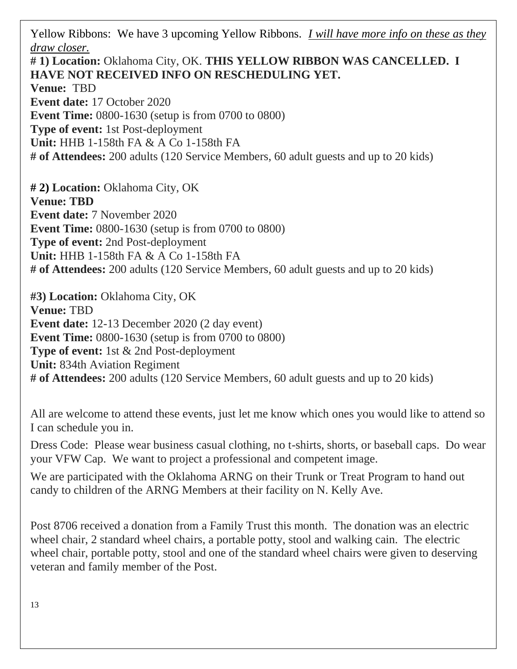Yellow Ribbons: We have 3 upcoming Yellow Ribbons. *I will have more info on these as they draw closer.*

**# 1) Location:** Oklahoma City, OK. **THIS YELLOW RIBBON WAS CANCELLED. I HAVE NOT RECEIVED INFO ON RESCHEDULING YET. Venue:** TBD **Event date:** 17 October 2020 **Event Time:** 0800-1630 (setup is from 0700 to 0800) **Type of event:** 1st Post-deployment **Unit:** HHB 1-158th FA & A Co 1-158th FA **# of Attendees:** 200 adults (120 Service Members, 60 adult guests and up to 20 kids)

**# 2) Location:** Oklahoma City, OK **Venue: TBD Event date:** 7 November 2020 **Event Time:** 0800-1630 (setup is from 0700 to 0800) **Type of event:** 2nd Post-deployment **Unit:** HHB 1-158th FA & A Co 1-158th FA **# of Attendees:** 200 adults (120 Service Members, 60 adult guests and up to 20 kids)

**#3) Location:** Oklahoma City, OK **Venue:** TBD **Event date:** 12-13 December 2020 (2 day event) **Event Time:** 0800-1630 (setup is from 0700 to 0800) **Type of event:** 1st & 2nd Post-deployment **Unit:** 834th Aviation Regiment **# of Attendees:** 200 adults (120 Service Members, 60 adult guests and up to 20 kids)

All are welcome to attend these events, just let me know which ones you would like to attend so I can schedule you in.

Dress Code: Please wear business casual clothing, no t-shirts, shorts, or baseball caps. Do wear your VFW Cap. We want to project a professional and competent image.

We are participated with the Oklahoma ARNG on their Trunk or Treat Program to hand out candy to children of the ARNG Members at their facility on N. Kelly Ave.

Post 8706 received a donation from a Family Trust this month. The donation was an electric wheel chair, 2 standard wheel chairs, a portable potty, stool and walking cain. The electric wheel chair, portable potty, stool and one of the standard wheel chairs were given to deserving veteran and family member of the Post.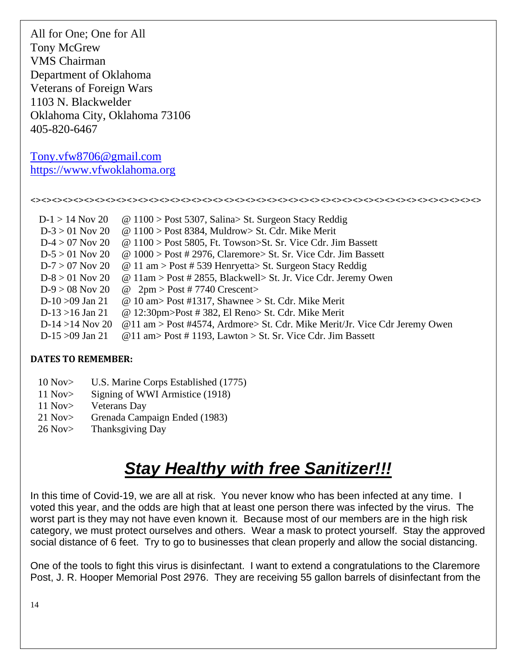All for One; One for All Tony McGrew VMS Chairman Department of Oklahoma Veterans of Foreign Wars 1103 N. Blackwelder Oklahoma City, Oklahoma 73106 405-820-6467

[Tony.vfw8706@gmail.com](mailto:Tony.vfw8706@gmail.com) [https://www.vfwoklahoma.org](https://www.vfwoklahoma.org/)

#### <><><><><><><><><><><><><><><><><><><><><><><><><><><><><><><><><><><><><><><><><><>

| $D-1 > 14$ Nov 20  | $\omega$ 1100 > Post 5307, Salina > St. Surgeon Stacy Reddig               |
|--------------------|----------------------------------------------------------------------------|
| $D-3 > 01$ Nov 20  | $\omega$ 1100 > Post 8384, Muldrow > St. Cdr. Mike Merit                   |
| $D-4 > 07$ Nov 20  | $@ 1100 >$ Post 5805, Ft. Towson>St. Sr. Vice Cdr. Jim Bassett             |
| $D-5 > 01$ Nov 20  | $\omega$ 1000 > Post # 2976, Claremore> St. Sr. Vice Cdr. Jim Bassett      |
| $D-7 > 07$ Nov 20  | $\omega$ 11 am > Post # 539 Henryetta> St. Surgeon Stacy Reddig            |
| $D-8 > 01$ Nov 20  | @ 11am > Post # 2855, Blackwell > St. Jr. Vice Cdr. Jeremy Owen            |
| $D-9 > 08$ Nov 20  | @ $2\text{pm} > \text{Post} \# 7740 \text{ Crescent} >$                    |
| D-10 $>09$ Jan 21  | @ 10 am > Post #1317, Shawnee > St. Cdr. Mike Merit                        |
| $D-13 > 16$ Jan 21 | $@ 12:30 \text{pm}$ Post # 382, El Reno St. Cdr. Mike Merit                |
| $D-14 > 14$ Nov 20 | @11 am > Post #4574, Ardmore> St. Cdr. Mike Merit/Jr. Vice Cdr Jeremy Owen |
| $D-15 > 09$ Jan 21 | @11 am> Post #1193, Lawton > St. Sr. Vice Cdr. Jim Bassett                 |

### **DATES TO REMEMBER:**

- 10 Nov> U.S. Marine Corps Established (1775)
- 11 Nov> Signing of WWI Armistice (1918)
- 11 Nov> Veterans Day
- 21 Nov> Grenada Campaign Ended (1983)
- 26 Nov> Thanksgiving Day

# *Stay Healthy with free Sanitizer!!!*

In this time of Covid-19, we are all at risk. You never know who has been infected at any time. I voted this year, and the odds are high that at least one person there was infected by the virus. The worst part is they may not have even known it. Because most of our members are in the high risk category, we must protect ourselves and others. Wear a mask to protect yourself. Stay the approved social distance of 6 feet. Try to go to businesses that clean properly and allow the social distancing.

One of the tools to fight this virus is disinfectant. I want to extend a congratulations to the Claremore Post, J. R. Hooper Memorial Post 2976. They are receiving 55 gallon barrels of disinfectant from the